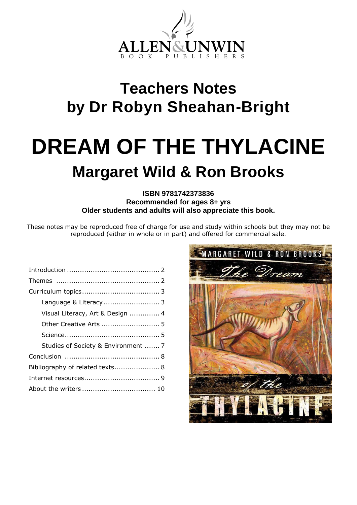

# **Teachers Notes by Dr Robyn Sheahan-Bright**

# **DREAM OF THE THYLACINE Margaret Wild & Ron Brooks**

# **ISBN 9781742373836 Recommended for ages 8+ yrs Older students and adults will also appreciate this book.**

These notes may be reproduced free of charge for use and study within schools but they may not be reproduced (either in whole or in part) and offered for commercial sale.

| Language & Literacy  3              |  |
|-------------------------------------|--|
| Visual Literacy, Art & Design  4    |  |
| Other Creative Arts  5              |  |
|                                     |  |
| Studies of Society & Environment  7 |  |
|                                     |  |
| Bibliography of related texts 8     |  |
|                                     |  |
|                                     |  |
|                                     |  |

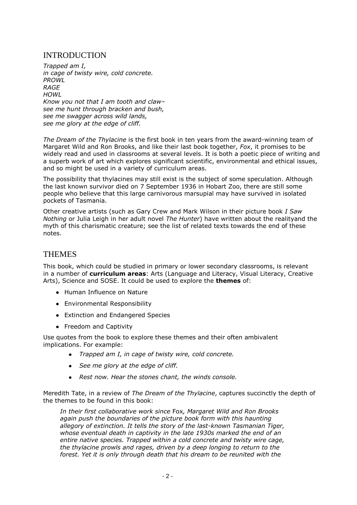# INTRODUCTION

*Trapped am I, in cage of twisty wire, cold concrete. PROWL RAGE HOWL Know you not that I am tooth and claw– see me hunt through bracken and bush, see me swagger across wild lands, see me glory at the edge of cliff.*

*The Dream of the Thylacine* is the first book in ten years from the award-winning team of Margaret Wild and Ron Brooks, and like their last book together, *Fox*, it promises to be widely read and used in classrooms at several levels. It is both a poetic piece of writing and a superb work of art which explores significant scientific, environmental and ethical issues, and so might be used in a variety of curriculum areas.

The possibility that thylacines may still exist is the subject of some speculation. Although the last known survivor died on 7 September 1936 in Hobart Zoo, there are still some people who believe that this large carnivorous marsupial may have survived in isolated pockets of Tasmania.

Other creative artists (such as Gary Crew and Mark Wilson in their picture book *I Saw Nothing* or Julia Leigh in her adult novel *The Hunter*) have written about the realityand the myth of this charismatic creature; see the list of related texts towards the end of these notes.

# **THEMES**

This book, which could be studied in primary or lower secondary classrooms, is relevant in a number of **curriculum areas**: Arts (Language and Literacy, Visual Literacy, Creative Arts), Science and SOSE. It could be used to explore the **themes** of:

- Human Influence on Nature
- Environmental Responsibility
- Extinction and Endangered Species
- Freedom and Captivity

Use quotes from the book to explore these themes and their often ambivalent implications. For example:

- *Trapped am I, in cage of twisty wire, cold concrete.*  $\bullet$
- *See me glory at the edge of cliff.*
- *Rest now. Hear the stones chant, the winds console.*

Meredith Tate, in a review of *The Dream of the Thylacine*, captures succinctly the depth of the themes to be found in this book:

*In their first collaborative work since* Fox*, Margaret Wild and Ron Brooks again push the boundaries of the picture book form with this haunting allegory of extinction. It tells the story of the last-known Tasmanian Tiger, whose eventual death in captivity in the late 1930s marked the end of an entire native species. Trapped within a cold concrete and twisty wire cage, the thylacine prowls and rages, driven by a deep longing to return to the forest. Yet it is only through death that his dream to be reunited with the*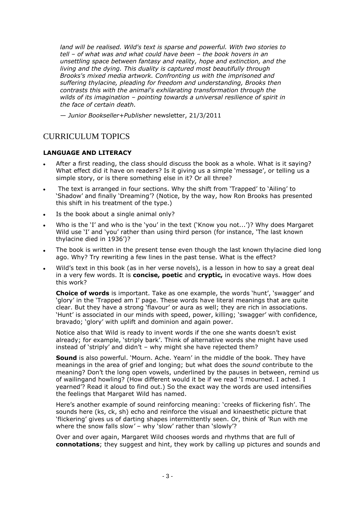*land will be realised. Wild's text is sparse and powerful. With two stories to tell – of what was and what could have been – the book hovers in an unsettling space between fantasy and reality, hope and extinction, and the living and the dying. This duality is captured most beautifully through Brooks's mixed media artwork. Confronting us with the imprisoned and suffering thylacine, pleading for freedom and understanding, Brooks then contrasts this with the animal's exhilarating transformation through the wilds of its imagination – pointing towards a universal resilience of spirit in the face of certain death.*

— *Junior Bookseller+Publisher* newsletter, 21/3/2011

# CURRICULUM TOPICS

#### **LANGUAGE AND LITERACY**

- After a first reading, the class should discuss the book as a whole. What is it saying?  $\bullet$ What effect did it have on readers? Is it giving us a simple 'message', or telling us a simple story, or is there something else in it? Or all three?
- The text is arranged in four sections. Why the shift from 'Trapped' to 'Ailing' to 'Shadow' and finally 'Dreaming'? (Notice, by the way, how Ron Brooks has presented this shift in his treatment of the type.)
- Is the book about a single animal only?  $\bullet$
- Who is the 'I' and who is the 'you' in the text ('Know you not...')? Why does Margaret Wild use 'I' and 'you' rather than using third person (for instance, 'The last known thylacine died in 1936')?
- The book is written in the present tense even though the last known thylacine died long ago. Why? Try rewriting a few lines in the past tense. What is the effect?
- Wild's text in this book (as in her verse novels), is a lesson in how to say a great deal in a very few words. It is **concise, poetic** and **cryptic,** in evocative ways. How does this work?

**Choice of words** is important. Take as one example, the words 'hunt', 'swagger' and 'glory' in the 'Trapped am I' page. These words have literal meanings that are quite clear. But they have a strong 'flavour' or aura as well; they are rich in associations. 'Hunt' is associated in our minds with speed, power, killing; 'swagger' with confidence, bravado; 'glory' with uplift and dominion and again power.

Notice also that Wild is ready to invent words if the one she wants doesn't exist already; for example, 'striply bark'. Think of alternative words she might have used instead of 'striply' and didn't – why might she have rejected them?

**Sound** is also powerful. 'Mourn. Ache. Yearn' in the middle of the book. They have meanings in the area of grief and longing; but what does the *sound* contribute to the meaning? Don't the long open vowels, underlined by the pauses in between, remind us of wailingand howling? (How different would it be if we read 'I mourned. I ached. I yearned'? Read it aloud to find out.) So the exact way the words are used intensifies the feelings that Margaret Wild has named.

Here's another example of sound reinforcing meaning: 'creeks of flickering fish'. The sounds here (ks, ck, sh) echo and reinforce the visual and kinaesthetic picture that 'flickering' gives us of darting shapes intermittently seen. Or, think of *'*Run with me where the snow falls slow*'* – why 'slow' rather than 'slowly'?

Over and over again, Margaret Wild chooses words and rhythms that are full of **connotations**; they suggest and hint, they work by calling up pictures and sounds and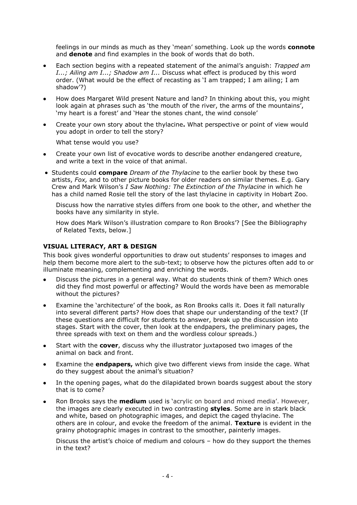feelings in our minds as much as they 'mean' something. Look up the words **connote**  and **denote** and find examples in the book of words that do both.

- Each section begins with a repeated statement of the animal's anguish: *Trapped am I...; Ailing am I...; Shadow am I...* Discuss what effect is produced by this word order. (What would be the effect of recasting as 'I am trapped; I am ailing; I am shadow'?)
- How does Margaret Wild present Nature and land? In thinking about this, you might  $\bullet$ look again at phrases such as 'the mouth of the river, the arms of the mountains', 'my heart is a forest' and 'Hear the stones chant, the wind console'
- Create your own story about the thylacine**.** What perspective or point of view would you adopt in order to tell the story?

What tense would you use?

- Create your own list of evocative words to describe another endangered creature, and write a text in the voice of that animal.
- Students could **compare** *Dream of the Thylacine* to the earlier book by these two artists, *Fox,* and to other picture books for older readers on similar themes. E.g. Gary Crew and Mark Wilson's *I Saw Nothing: The Extinction of the Thylacine* in which he has a child named Rosie tell the story of the last thylacine in captivity in Hobart Zoo.

Discuss how the narrative styles differs from one book to the other, and whether the books have any similarity in style.

How does Mark Wilson's illustration compare to Ron Brooks'? [See the Bibliography of Related Texts, below.]

#### **VISUAL LITERACY, ART & DESIGN**

This book gives wonderful opportunities to draw out students' responses to images and help them become more alert to the sub-text; to observe how the pictures often add to or illuminate meaning, complementing and enriching the words.

- Discuss the pictures in a general way. What do students think of them? Which ones  $\bullet$ did they find most powerful or affecting? Would the words have been as memorable without the pictures?
- Examine the 'architecture' of the book, as Ron Brooks calls it. Does it fall naturally  $\bullet$ into several different parts? How does that shape our understanding of the text? (If these questions are difficult for students to answer, break up the discussion into stages. Start with the cover, then look at the endpapers, the preliminary pages, the three spreads with text on them and the wordless colour spreads.)
- Start with the **cover**, discuss why the illustrator juxtaposed two images of the animal on back and front.
- Examine the **endpapers,** which give two different views from inside the cage. What do they suggest about the animal's situation?
- In the opening pages, what do the dilapidated brown boards suggest about the story that is to come?
- Ron Brooks says the **medium** used is 'acrylic on board and mixed media'. However, the images are clearly executed in two contrasting **styles**. Some are in stark black and white, based on photographic images, and depict the caged thylacine. The others are in colour, and evoke the freedom of the animal. **Texture** is evident in the grainy photographic images in contrast to the smoother, painterly images.

Discuss the artist's choice of medium and colours – how do they support the themes in the text?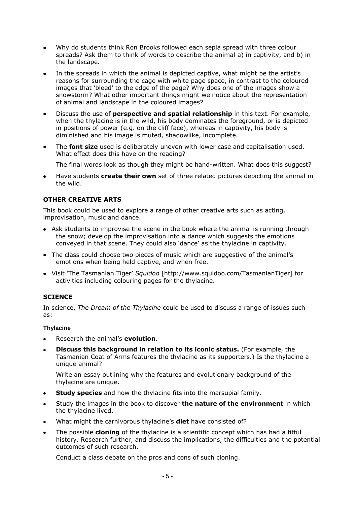- Why do students think Ron Brooks followed each sepia spread with three colour spreads? Ask them to think of words to describe the animal a) in captivity, and b) in the landscape.
- In the spreads in which the animal is depicted captive, what might be the artist's  $\bullet$ reasons for surrounding the cage with white page space, in contrast to the coloured images that 'bleed' to the edge of the page? Why does one of the images show a snowstorm? What other important things might we notice about the representation of animal and landscape in the coloured images?
- $\bullet$ Discuss the use of **perspective and spatial relationship** in this text. For example, when the thylacine is in the wild, his body dominates the foreground, or is depicted in positions of power (e.g. on the cliff face), whereas in captivity, his body is diminished and his image is muted, shadowlike, incomplete.
- $\bullet$ The **font size** used is deliberately uneven with lower case and capitalisation used. What effect does this have on the reading?

The final words look as though they might be hand-written. What does this suggest?

Have students **create their own** set of three related pictures depicting the animal in  $\bullet$ the wild.

#### **OTHER CREATIVE ARTS**

This book could be used to explore a range of other creative arts such as acting, improvisation, music and dance.

- Ask students to improvise the scene in the book where the animal is running through the snow; develop the improvisation into a dance which suggests the emotions conveyed in that scene. They could also 'dance' as the thylacine in captivity.
- The class could choose two pieces of music which are suggestive of the animal's emotions when being held captive, and when free.
- Visit 'The Tasmanian Tiger' *Squidoo* [http://www.squidoo.com/TasmanianTiger] for activities including colouring pages for the thylacine.

#### **SCIENCE**

In science, *The Dream of the Thylacine* could be used to discuss a range of issues such as:

#### **Thylacine**

- Research the animal's **evolution**.
- **Discuss this background in relation to its iconic status.** (For example, the Tasmanian Coat of Arms features the thylacine as its supporters.) Is the thylacine a unique animal?

Write an essay outlining why the features and evolutionary background of the thylacine are unique.

- **Study species** and how the thylacine fits into the marsupial family.  $\bullet$
- Study the images in the book to discover **the nature of the environment** in which  $\bullet$ the thylacine lived.
- What might the carnivorous thylacine's **diet** have consisted of?
- The possible **cloning** of the thylacine is a scientific concept which has had a fitful history. Research further, and discuss the implications, the difficulties and the potential outcomes of such research.

Conduct a class debate on the pros and cons of such cloning.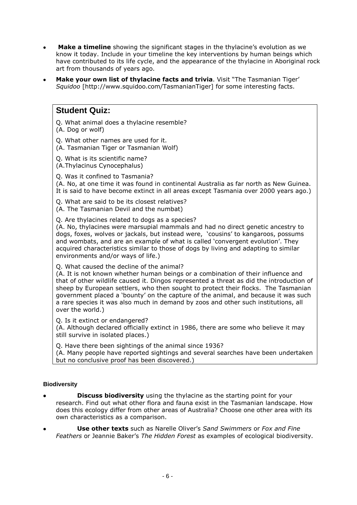- **Make a timeline** showing the significant stages in the thylacine's evolution as we know it today. Include in your timeline the key interventions by human beings which have contributed to its life cycle, and the appearance of the thylacine in Aboriginal rock art from thousands of years ago.
- **Make your own list of thylacine facts and trivia**. Visit "The Tasmanian Tiger' *Squidoo* [http://www.squidoo.com/TasmanianTiger] for some interesting facts.

# **Student Quiz:**

Q. What animal does a thylacine resemble?

(A. Dog or wolf)

Q. What other names are used for it.

(A. Tasmanian Tiger or Tasmanian Wolf)

Q. What is its scientific name?

(A.Thylacinus Cynocephalus)

Q. Was it confined to Tasmania?

(A. No, at one time it was found in continental Australia as far north as New Guinea. It is said to have become extinct in all areas except Tasmania over 2000 years ago.)

Q. What are said to be its closest relatives?

(A. The Tasmanian Devil and the numbat)

Q. Are thylacines related to dogs as a species?

(A. No, thylacines were marsupial mammals and had no direct genetic ancestry to dogs, foxes, wolves or jackals, but instead were, 'cousins' to kangaroos, possums and wombats, and are an example of what is called 'convergent evolution'. They acquired characteristics similar to those of dogs by living and adapting to similar environments and/or ways of life.)

Q. What caused the decline of the animal?

(A. It is not known whether human beings or a combination of their influence and that of other wildlife caused it. Dingos represented a threat as did the introduction of sheep by European settlers, who then sought to protect their flocks. The Tasmanian government placed a 'bounty' on the capture of the animal, and because it was such a rare species it was also much in demand by zoos and other such institutions, all over the world.)

Q. Is it extinct or endangered?

(A. Although declared officially extinct in 1986, there are some who believe it may still survive in isolated places.)

Q. Have there been sightings of the animal since 1936?

(A. Many people have reported sightings and several searches have been undertaken but no conclusive proof has been discovered.)

#### **Biodiversity**

- **Discuss biodiversity** using the thylacine as the starting point for your research. Find out what other flora and fauna exist in the Tasmanian landscape. How does this ecology differ from other areas of Australia? Choose one other area with its own characteristics as a comparison.
- **Use other texts** such as Narelle Oliver's *Sand Swimmers* or *Fox and Fine Feathers* or Jeannie Baker's *The Hidden Forest* as examples of ecological biodiversity*.*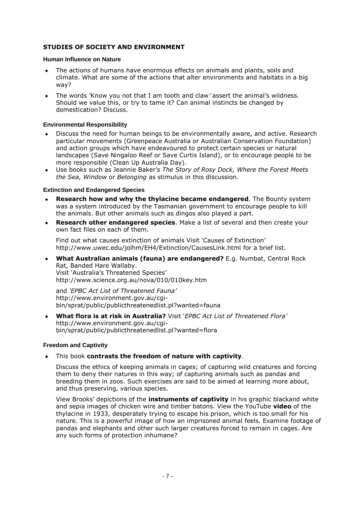#### **STUDIES OF SOCIETY AND ENVIRONMENT**

#### **Human Influence on Nature**

- The actions of humans have enormous effects on animals and plants, soils and  $\bullet$ climate. What are some of the actions that alter environments and habitats in a big way?
- The words *'*Know you not that I am tooth and claw*'* assert the animal's wildness.  $\bullet$ Should we value this, or try to tame it? Can animal instincts be changed by domestication? Discuss.

#### **Environmental Responsibility**

- Discuss the need for human beings to be environmentally aware, and active. Research particular movements (Greenpeace Australia or Australian Conservation Foundation) and action groups which have endeavoured to protect certain species or natural landscapes (Save Ningaloo Reef or Save Curtis Island), or to encourage people to be more responsible (Clean Up Australia Day).
- Use books such as Jeannie Baker's *The Story of Rosy Dock, Where the Forest Meets*   $\bullet$ *the Sea, Window* or *Belonging* as stimulus in this discussion.

#### **Extinction and Endangered Species**

- **Research how and why the thylacine became endangered**. The Bounty system was a system introduced by the Tasmanian government to encourage people to kill the animals. But other animals such as dingos also played a part.
- **Research other endangered species**. Make a list of several and then create your own fact files on each of them.

Find out what causes extinction of animals Visit 'Causes of Extinction' http://www.uwec.edu/jolhm/EH4/Extinction/CausesLink.html for a brief list.

 $\bullet$ **What Australian animals (fauna) are endangered?** E.g. Numbat, Central Rock Rat, Banded Hare Wallaby. Visit 'Australia's Threatened Species' http://www.science.org.au/nova/010/010key.htm

and *'EPBC Act List of Threatened Fauna'*  http://www.environment.gov.au/cgibin/sprat/public/publicthreatenedlist.pl?wanted=fauna

**What flora is at risk in Australia?** Visit '*EPBC Act List of Threatened Flora'*  http://www.environment.gov.au/cgibin/sprat/public/publicthreatenedlist.pl?wanted=flora

#### **Freedom and Captivity**

#### This book **contrasts the freedom of nature with captivity**.

Discuss the ethics of keeping animals in cages; of capturing wild creatures and forcing them to deny their natures in this way; of capturing animals such as pandas and breeding them in zoos. Such exercises are said to be aimed at learning more about, and thus preserving, various species.

View Brooks' depictions of the **instruments of captivity** in his graphic blackand white and sepia images of chicken wire and timber batons. View the YouTube **video** of the thylacine in 1933, desperately trying to escape his prison, which is too small for his nature. This is a powerful image of how an imprisoned animal feels. Examine footage of pandas and elephants and other such larger creatures forced to remain in cages. Are any such forms of protection inhumane?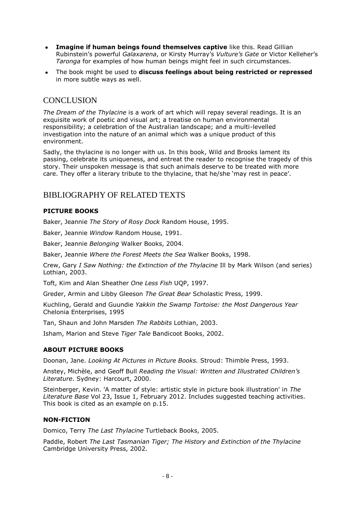- **Imagine if human beings found themselves captive** like this. Read Gillian  $\bullet$ Rubinstein's powerful *Galaxarena*, or Kirsty Murray's *Vulture's Gate* or Victor Kelleher's *Taronga* for examples of how human beings might feel in such circumstances.
- The book might be used to **discuss feelings about being restricted or repressed**  in more subtle ways as well.

# **CONCLUSION**

*The Dream of the Thylacine* is a work of art which will repay several readings. It is an exquisite work of poetic and visual art; a treatise on human environmental responsibility; a celebration of the Australian landscape; and a multi-levelled investigation into the nature of an animal which was a unique product of this environment.

Sadly, the thylacine is no longer with us. In this book, Wild and Brooks lament its passing, celebrate its uniqueness, and entreat the reader to recognise the tragedy of this story. Their unspoken message is that such animals deserve to be treated with more care. They offer a literary tribute to the thylacine, that he/she 'may rest in peace'.

# BIBLIOGRAPHY OF RELATED TEXTS

#### **PICTURE BOOKS**

Baker, Jeannie *The Story of Rosy Dock* Random House, 1995.

Baker, Jeannie *Window* Random House, 1991.

Baker, Jeannie *Belonging* Walker Books, 2004.

Baker, Jeannie *Where the Forest Meets the Sea* Walker Books, 1998.

Crew, Gary *I Saw Nothing: the Extinction of the Thylacine* Ill by Mark Wilson (and series) Lothian, 2003.

Toft, Kim and Alan Sheather *One Less Fish* UQP, 1997.

Greder, Armin and Libby Gleeson *The Great Bear* Scholastic Press, 1999.

Kuchling, Gerald and Guundie *Yakkin the Swamp Tortoise: the Most Dangerous Year* Chelonia Enterprises, 1995

Tan, Shaun and John Marsden *The Rabbits* Lothian, 2003.

Isham, Marion and Steve *Tiger Tale* Bandicoot Books, 2002.

#### **ABOUT PICTURE BOOKS**

Doonan, Jane. *Looking At Pictures in Picture Books.* Stroud: Thimble Press, 1993.

Anstey, Michèle, and Geoff Bull *Reading the Visual: Written and Illustrated Children's Literature*. Sydney: Harcourt, 2000.

Steinberger, Kevin. 'A matter of style: artistic style in picture book illustration' in *The Literature Base* Vol 23, Issue 1, February 2012. Includes suggested teaching activities. This book is cited as an example on p.15.

#### **NON-FICTION**

Domico, Terry *The Last Thylacine* Turtleback Books, 2005.

Paddle, Robert *The Last Tasmanian Tiger; The History and Extinction of the Thylacine*  Cambridge University Press, 2002.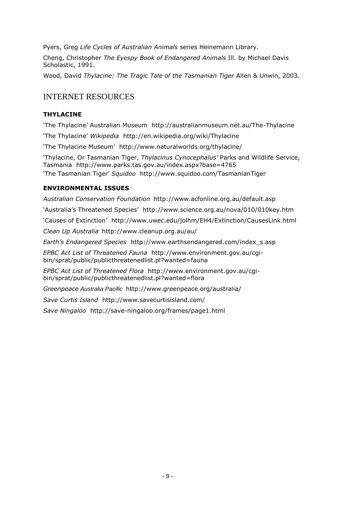Pyers, Greg *Life Cycles of Australian Animals* series Heinemann Library.

Cheng, Christopher *The Eyespy Book of Endangered Animals* Ill. by Michael Davis Scholastic, 1991.

Wood, David *Thylacine: The Tragic Tale of the Tasmanian Tiger* Allen & Unwin, 2003.

# INTERNET RESOURCES

#### **THYLACINE**

'The Thylacine' Australian Museum http://australianmuseum.net.au/The-Thylacine

'The Thylacine' *Wikipedia* http://en.wikipedia.org/wiki/Thylacine

'The Thylacine Museum' http://www.naturalworlds.org/thylacine/

'Thylacine, Or Tasmanian Tiger, *Thylacinus Cynocephalus'* Parks and Wildlife Service, Tasmania http://www.parks.tas.gov.au/index.aspx?base=4765 'The Tasmanian Tiger' *Squidoo* http://www.squidoo.com/TasmanianTiger

#### **ENVIRONMENTAL ISSUES**

*Australian Conservation Foundation* http://www.acfonline.org.au/default.asp

'Australia's Threatened Species' http://www.science.org.au/nova/010/010key.htm

'Causes of Extinction' http://www.uwec.edu/jolhm/EH4/Extinction/CausesLink.html

*Clean Up Australia* http://www.cleanup.org.au/au/

*Earth's Endangered Species* http://www.earthsendangered.com/index\_s.asp

*EPBC Act List of Threatened Fauna* http://www.environment.gov.au/cgibin/sprat/public/publicthreatenedlist.pl?wanted=fauna

*EPBC Act List of Threatened Flora* http://www.environment.gov.au/cgibin/sprat/public/publicthreatenedlist.pl?wanted=flora

*Greenpeace Australia Pacific* http://www.greenpeace.org/australia/

*Save Curtis Island* http://www.savecurtisisland.com/

*Save Ningaloo* http://save-ningaloo.org/frames/page1.html